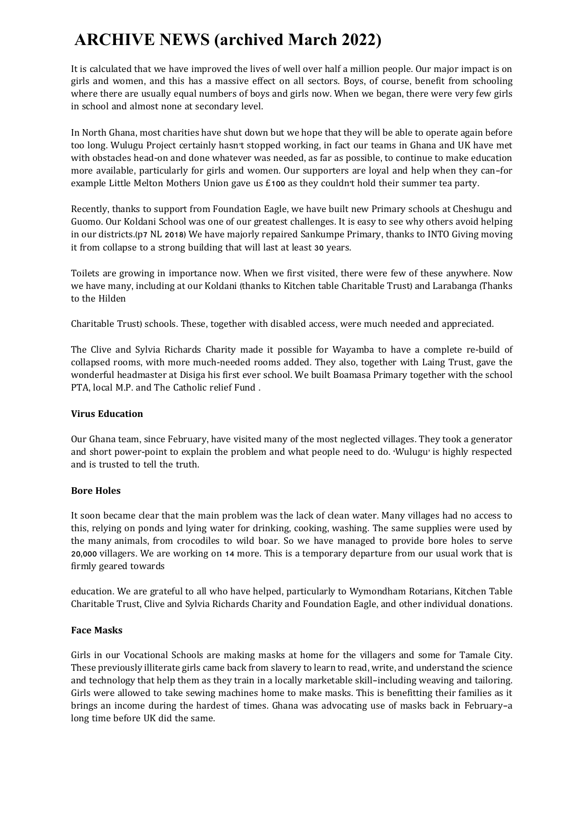# **ARCHIVE NEWS (archived March 2022)**

It is calculated that we have improved the lives of well over half a million people. Our major impact is on girls and women, and this has a massive effect on all sectors. Boys, of course, benefit from schooling where there are usually equal numbers of boys and girls now. When we began, there were very few girls in school and almost none at secondary level.

In North Ghana, most charities have shut down but we hope that they will be able to operate again before too long. Wulugu Project certainly hasn't stopped working, in fact our teams in Ghana and UK have met with obstacles head-on and done whatever was needed, as far as possible, to continue to make education more available, particularly for girls and women. Our supporters are loyal and help when they can—for example Little Melton Mothers Union gave us £100 as they couldn't hold their summer tea party.

Recently, thanks to support from Foundation Eagle, we have built new Primary schools at Cheshugu and Guomo. Our Koldani School was one of our greatest challenges. It is easy to see why others avoid helping in our districts.(p7 NL 2018) We have majorly repaired Sankumpe Primary, thanks to INTO Giving moving it from collapse to a strong building that will last at least 30 years.

Toilets are growing in importance now. When we first visited, there were few of these anywhere. Now we have many, including at our Koldani (thanks to Kitchen table Charitable Trust) and Larabanga (Thanks to the Hilden

Charitable Trust) schools. These, together with disabled access, were much needed and appreciated.

The Clive and Sylvia Richards Charity made it possible for Wayamba to have a complete re-build of collapsed rooms, with more much-needed rooms added. They also, together with Laing Trust, gave the wonderful headmaster at Disiga his first ever school. We built Boamasa Primary together with the school PTA, local M.P. and The Catholic relief Fund .

# **Virus Education**

Our Ghana team, since February, have visited many of the most neglected villages. They took a generator and short power-point to explain the problem and what people need to do. 'Wulugu' is highly respected and is trusted to tell the truth.

# **Bore Holes**

It soon became clear that the main problem was the lack of clean water. Many villages had no access to this, relying on ponds and lying water for drinking, cooking, washing. The same supplies were used by the many animals, from crocodiles to wild boar. So we have managed to provide bore holes to serve 20,000 villagers. We are working on 14 more. This is a temporary departure from our usual work that is firmly geared towards

education. We are grateful to all who have helped, particularly to Wymondham Rotarians, Kitchen Table Charitable Trust, Clive and Sylvia Richards Charity and Foundation Eagle, and other individual donations.

# **Face Masks**

Girls in our Vocational Schools are making masks at home for the villagers and some for Tamale City. These previously illiterate girls came back from slavery to learn to read, write, and understand the science and technology that help them as they train in a locally marketable skill—including weaving and tailoring. Girls were allowed to take sewing machines home to make masks. This is benefitting their families as it brings an income during the hardest of times. Ghana was advocating use of masks back in February—a long time before UK did the same.